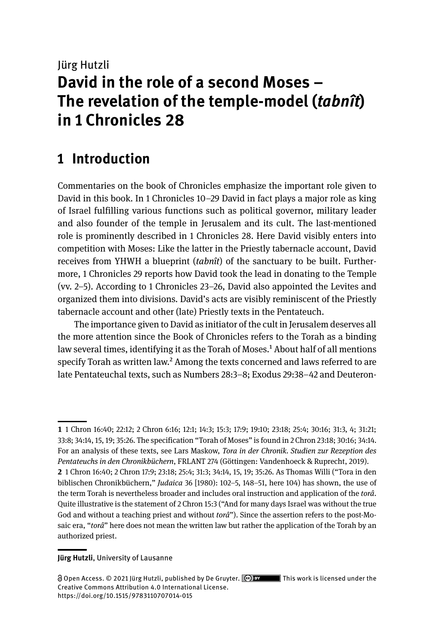# Jürg Hutzli **David in the role of a second Moses – The revelation of the temple-model (***tabnît***) in 1 Chronicles 28**

# **1 Introduction**

Commentaries on the book of Chronicles emphasize the important role given to David in this book. In 1 Chronicles 10–29 David in fact plays a major role as king of Israel fulfilling various functions such as political governor, military leader and also founder of the temple in Jerusalem and its cult. The last-mentioned role is prominently described in 1 Chronicles 28. Here David visibly enters into competition with Moses: Like the latter in the Priestly tabernacle account, David receives from YHWH a blueprint (*tabnît*) of the sanctuary to be built. Furthermore, 1 Chronicles 29 reports how David took the lead in donating to the Temple (vv. 2–5). According to 1 Chronicles 23–26, David also appointed the Levites and organized them into divisions. David's acts are visibly reminiscent of the Priestly tabernacle account and other (late) Priestly texts in the Pentateuch.

The importance given to David as initiator of the cult in Jerusalem deserves all the more attention since the Book of Chronicles refers to the Torah as a binding law several times, identifying it as the Torah of Moses.<sup>1</sup> About half of all mentions specify Torah as written law.<sup>2</sup> Among the texts concerned and laws referred to are late Pentateuchal texts, such as Numbers 28:3–8; Exodus 29:38–42 and Deuteron-

#### **Jürg Hutzli**, University of Lausanne

**<sup>1</sup>** 1 Chron 16:40; 22:12; 2 Chron 6:16; 12:1; 14:3; 15:3; 17:9; 19:10; 23:18; 25:4; 30:16; 31:3, 4; 31:21; 33:8; 34:14, 15, 19; 35:26. The specification "Torah of Moses" is found in 2 Chron 23:18; 30:16; 34:14. For an analysis of these texts, see Lars Maskow, *Tora in der Chronik. Studien zur Rezeption des Pentateuchs in den Chronikbüchern*, FRLANT 274 (Göttingen: Vandenhoeck & Ruprecht, 2019). **2** 1 Chron 16:40; 2 Chron 17:9; 23:18; 25:4; 31:3; 34:14, 15, 19; 35:26. As Thomas Willi ("Tora in den

biblischen Chronikbüchern," *Judaica* 36 [1980): 102–5, 148–51, here 104) has shown, the use of the term Torah is nevertheless broader and includes oral instruction and application of the *torâ*. Quite illustrative is the statement of 2 Chron 15:3 ("And for many days Israel was without the true God and without a teaching priest and without *torâ*"). Since the assertion refers to the post-Mosaic era, "*torâ*" here does not mean the written law but rather the application of the Torah by an authorized priest.

Open Access. © 2021 Jürg Hutzli, published by De Gruyter. This work is licensed under the Creative Commons Attribution 4.0 International License. https://doi.org/10.1515/978311070701[4-0](https://doi.org/10.1515/9783110707014-000)15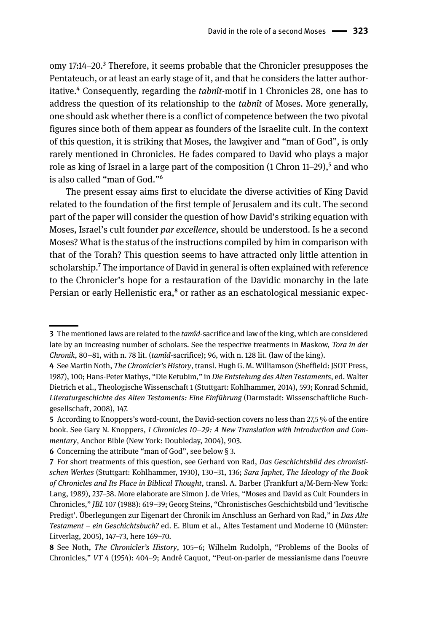omy 17:14–20.3 Therefore, it seems probable that the Chronicler presupposes the Pentateuch, or at least an early stage of it, and that he considers the latter authoritative.4 Consequently, regarding the *tabnît*-motif in 1 Chronicles 28, one has to address the question of its relationship to the *tabnît* of Moses. More generally, one should ask whether there is a conflict of competence between the two pivotal figures since both of them appear as founders of the Israelite cult. In the context of this question, it is striking that Moses, the lawgiver and "man of God", is only rarely mentioned in Chronicles. He fades compared to David who plays a major role as king of Israel in a large part of the composition  $(1 \text{ Chron } 11-29)$ , and who is also called "man of God."6

The present essay aims first to elucidate the diverse activities of King David related to the foundation of the first temple of Jerusalem and its cult. The second part of the paper will consider the question of how David's striking equation with Moses, Israel's cult founder *par excellence*, should be understood. Is he a second Moses? What is the status of the instructions compiled by him in comparison with that of the Torah? This question seems to have attracted only little attention in scholarship.7 The importance of David in general is often explained with reference to the Chronicler's hope for a restauration of the Davidic monarchy in the late Persian or early Hellenistic era,<sup>8</sup> or rather as an eschatological messianic expec-

**<sup>3</sup>** The mentioned laws are related to the *tamîd*-sacrifice and law of the king, which are considered late by an increasing number of scholars. See the respective treatments in Maskow, *Tora in der Chronik*, 80–81, with n. 78 lit. (*tamîd*-sacrifice); 96, with n. 128 lit. (law of the king).

**<sup>4</sup>** See Martin Noth, *The Chronicler's History*, transl. Hugh G. M. Williamson (Sheffield: JSOT Press, 1987), 100; Hans-Peter Mathys, "Die Ketubim," in *Die Entstehung des Alten Testaments*, ed. Walter Dietrich et al., Theologische Wissenschaft 1 (Stuttgart: Kohlhammer, 2014), 593; Konrad Schmid, *Literaturgeschichte des Alten Testaments: Eine Einführung* (Darmstadt: Wissenschaftliche Buchgesellschaft, 2008), 147.

**<sup>5</sup>** According to Knoppers's word-count, the David-section covers no less than 27,5 % of the entire book. See Gary N. Knoppers, *1 Chronicles 10–29: A New Translation with Introduction and Commentary*, Anchor Bible (New York: Doubleday, 2004), 903.

**<sup>6</sup>** Concerning the attribute "man of God", see below § 3.

**<sup>7</sup>** For short treatments of this question, see Gerhard von Rad, *Das Geschichtsbild des chronistischen Werkes* (Stuttgart: Kohlhammer, 1930), 130–31, 136; *Sara Japhet, The Ideology of the Book of Chronicles and Its Place in Biblical Thought*, transl. A. Barber (Frankfurt a/M-Bern-New York: Lang, 1989), 237–38. More elaborate are Simon J. de Vries, "Moses and David as Cult Founders in Chronicles," *JBL* 107 (1988): 619–39; Georg Steins, "Chronistisches Geschichtsbild und 'levitische Predigt'. Überlegungen zur Eigenart der Chronik im Anschluss an Gerhard von Rad," in *Das Alte Testament – ein Geschichtsbuch?* ed. E. Blum et al., Altes Testament und Moderne 10 (Münster: Litverlag, 2005), 147–73, here 169–70.

**<sup>8</sup>** See Noth, *The Chronicler's History*, 105–6; Wilhelm Rudolph, "Problems of the Books of Chronicles," *VT* 4 (1954): 404–9; André Caquot, "Peut-on-parler de messianisme dans l'oeuvre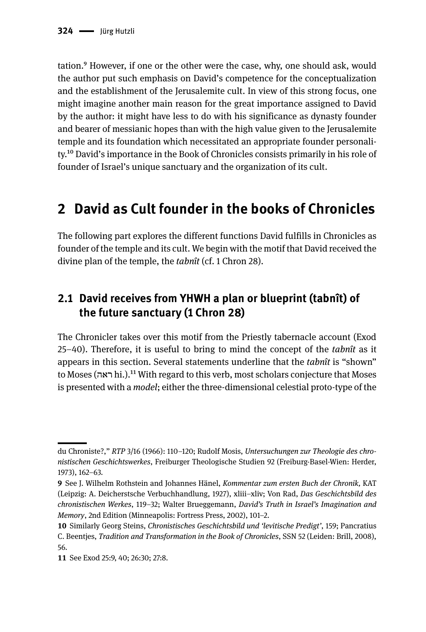tation.9 However, if one or the other were the case, why, one should ask, would the author put such emphasis on David's competence for the conceptualization and the establishment of the Jerusalemite cult. In view of this strong focus, one might imagine another main reason for the great importance assigned to David by the author: it might have less to do with his significance as dynasty founder and bearer of messianic hopes than with the high value given to the Jerusalemite temple and its foundation which necessitated an appropriate founder personality.10 David's importance in the Book of Chronicles consists primarily in his role of founder of Israel's unique sanctuary and the organization of its cult.

## **2 David as Cult founder in the books of Chronicles**

The following part explores the different functions David fulfills in Chronicles as founder of the temple and its cult. We begin with the motif that David received the divine plan of the temple, the *tabnît* (cf. 1 Chron 28).

### **2.1 David receives from YHWH a plan or blueprint (tabnît) of the future sanctuary (1 Chron 28)**

The Chronicler takes over this motif from the Priestly tabernacle account (Exod 25–40). Therefore, it is useful to bring to mind the concept of the *tabnît* as it appears in this section. Several statements underline that the *tabnît* is "shown" to Moses (ראה hi.).11 With regard to this verb, most scholars conjecture that Moses is presented with a *model*; either the three-dimensional celestial proto-type of the

du Chroniste?," *RTP* 3/16 (1966): 110–120; Rudolf Mosis, *Untersuchungen zur Theologie des chronistischen Geschichtswerkes*, Freiburger Theologische Studien 92 (Freiburg-Basel-Wien: Herder, 1973), 162–63.

**<sup>9</sup>** See J. Wilhelm Rothstein and Johannes Hänel, *Kommentar zum ersten Buch der Chronik,* KAT (Leipzig: A. Deicherstsche Verbuchhandlung, 1927), xliii–xliv; Von Rad, *Das Geschichtsbild des chronistischen Werkes*, 119–32; Walter Brueggemann, *David's Truth in Israel's Imagination and Memory*, 2nd Edition (Minneapolis: Fortress Press, 2002), 101–2.

**<sup>10</sup>** Similarly Georg Steins, *Chronistisches Geschichtsbild und 'levitische Predigt'*, 159; Pancratius C. Beentjes, *Tradition and Transformation in the Book of Chronicles*, SSN 52 (Leiden: Brill, 2008), 56.

**<sup>11</sup>** See Exod 25:9, 40; 26:30; 27:8.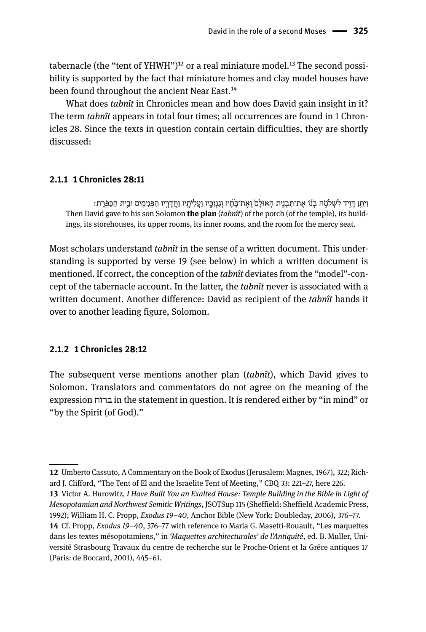tabernacle (the "tent of YHWH")<sup>12</sup> or a real miniature model.<sup>13</sup> The second possibility is supported by the fact that miniature homes and clay model houses have been found throughout the ancient Near East.<sup>14</sup>

What does *tabnît* in Chronicles mean and how does David gain insight in it? The term *tabnît* appears in total four times; all occurrences are found in 1 Chronicles 28. Since the texts in question contain certain difficulties, they are shortly discussed:

#### **2.1.1 1 Chronicles 28:11**

וַיִּתֵּן דַּוֵיד לְשָׁלֹמָה בְנוֹ אֶת־תַּבְנֵית הָאוּלַם וַאֱת־בַּׂתָּ֫יו וְגַנְזָכֵיו וַעֲלִיּתֲיו וַחֲדָרֵיו הַפְּנִימֵים וּבֵית הַכַּפִּרֶת: Then David gave to his son Solomon **the plan** (*tabnît*) of the porch (of the temple), its buildings, its storehouses, its upper rooms, its inner rooms, and the room for the mercy seat.

Most scholars understand *tabnît* in the sense of a written document. This understanding is supported by verse 19 (see below) in which a written document is mentioned. If correct, the conception of the *tabnît* deviates from the "model"-concept of the tabernacle account. In the latter, the *tabnît* never is associated with a written document. Another difference: David as recipient of the *tabnît* hands it over to another leading figure, Solomon.

#### **2.1.2 1 Chronicles 28:12**

The subsequent verse mentions another plan (*tabnît*), which David gives to Solomon. Translators and commentators do not agree on the meaning of the expression ברוח in the statement in question. It is rendered either by "in mind" or "by the Spirit (of God)."

**<sup>12</sup>** Umberto Cassuto, A Commentary on the Book of Exodus (Jerusalem: Magnes, 1967), 322; Richard J. Clifford, "The Tent of El and the Israelite Tent of Meeting," CBQ 33: 221–27, here 226.

**<sup>13</sup>** Victor A. Hurowitz, *I Have Built You an Exalted House: Temple Building in the Bible in Light of Mesopotamian and Northwest Semitic Writings*, JSOTSup 115 (Sheffield: Sheffield Academic Press, 1992); William H. C. Propp, *Exodus 19–40*, Anchor Bible (New York: Doubleday, 2006), 376–77. **14** Cf. Propp, *Exodus 19–40*, 376–77 with reference to Maria G. Masetti-Rouault, "Les maquettes dans les textes mésopotamiens," in *'Maquettes architecturales' de l'Antiquité*, ed. B. Muller, Université Strasbourg Travaux du centre de recherche sur le Proche-Orient et la Gréce antiques 17

<sup>(</sup>Paris: de Boccard, 2001), 445–61.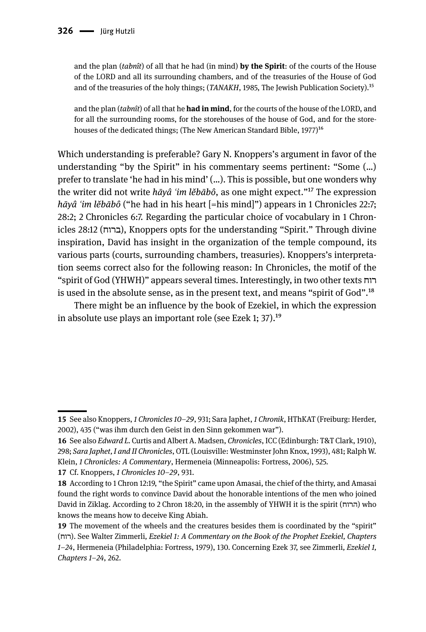and the plan (*tabnît*) of all that he had (in mind) **by the Spirit**: of the courts of the House of the LORD and all its surrounding chambers, and of the treasuries of the House of God and of the treasuries of the holy things; (*TANAKH*, 1985, The Jewish Publication Society).<sup>15</sup>

and the plan (*tabnît*) of all that he **had in mind**, for the courts of the house of the LORD, and for all the surrounding rooms, for the storehouses of the house of God, and for the storehouses of the dedicated things; (The New American Standard Bible,  $1977$ )<sup>16</sup>

Which understanding is preferable? Gary N. Knoppers's argument in favor of the understanding "by the Spirit" in his commentary seems pertinent: "Some (…) prefer to translate 'he had in his mind' (…). This is possible, but one wonders why the writer did not write *hāyâ ʿim lĕbābô*, as one might expect."17 The expression *hāyâ ʿim lĕbābô* ("he had in his heart [=his mind]") appears in 1 Chronicles 22:7; 28:2; 2 Chronicles 6:7. Regarding the particular choice of vocabulary in 1 Chronicles 28:12 (ברוח), Knoppers opts for the understanding "Spirit." Through divine inspiration, David has insight in the organization of the temple compound, its various parts (courts, surrounding chambers, treasuries)*.* Knoppers's interpretation seems correct also for the following reason: In Chronicles, the motif of the "spirit of God (YHWH)" appears several times. Interestingly, in two other texts רוח is used in the absolute sense, as in the present text, and means "spirit of God".18

There might be an influence by the book of Ezekiel, in which the expression in absolute use plays an important role (see Ezek 1; 37).<sup>19</sup>

**17** Cf. Knoppers, *1 Chronicles 10–29*, 931.

**<sup>15</sup>** See also Knoppers, *1 Chronicles 10–29*, 931; Sara Japhet, *1 Chronik*, HThKAT (Freiburg: Herder, 2002), 435 ("was ihm durch den Geist in den Sinn gekommen war").

**<sup>16</sup>** See also *Edward L.* Curtis and Albert A. Madsen, *Chronicles*, ICC (Edinburgh: T&T Clark, 1910), 298; *Sara Japhet, I and II Chronicles*, OTL (Louisville: Westminster John Knox, 1993), 481; Ralph W. Klein, *1 Chronicles: A Commentary*, Hermeneia (Minneapolis: Fortress, 2006), 525.

**<sup>18</sup>** According to 1 Chron 12:19, "the Spirit" came upon Amasai, the chief of the thirty, and Amasai found the right words to convince David about the honorable intentions of the men who joined David in Ziklag. According to 2 Chron 18:20, in the assembly of YHWH it is the spirit (הרוח) who knows the means how to deceive King Abiah.

**<sup>19</sup>** The movement of the wheels and the creatures besides them is coordinated by the "spirit" (רוח(. See Walter Zimmerli*, Ezekiel 1: A Commentary on the Book of the Prophet Ezekiel, Chapters 1–24*, Hermeneia (Philadelphia: Fortress, 1979), 130. Concerning Ezek 37, see Zimmerli*, Ezekiel 1, Chapters 1–24*, 262.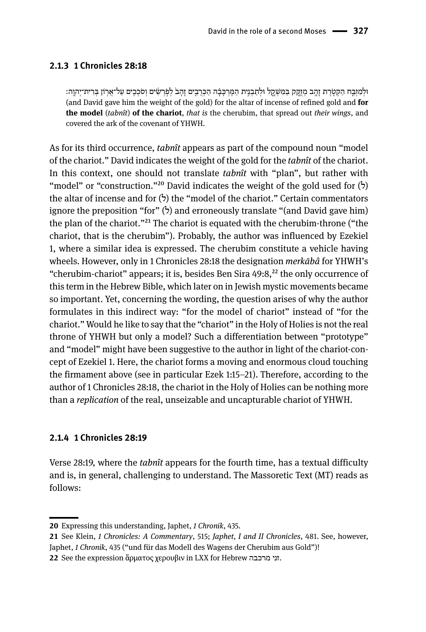#### **2.1.3 1 Chronicles 28:18**

ּולְ מִ זְ ּב ַ ֧ ח הַ ּק ְ טֹ֛ רֶ ת זָ הָ ֥ ב מְ זָֻ ּ֖קק ַּב ִּמׁש ְקָ ֑ ל ּולְ תַ בְ נִ ֣ית הַ ּמֶ רְ ּכָ בָ֗ ה הַ ּכ ְ רֻ בִ ֤ ים זָ הָ ב֙ לְ פֹ֣ רְ ׂש ִ֔ ים וְ סֹכְ כִ ֖ ים עַ ל־אֲ ר֥ ֹון ּב ְ רִ ית־יְהוָ ֽה׃ (and David gave him the weight of the gold) for the altar of incense of refined gold and **for the model** (*tabnît*) **of the chariot**, *that is* the cherubim, that spread out *their wings*, and covered the ark of the covenant of YHWH.

As for its third occurrence, *tabnît* appears as part of the compound noun "model of the chariot." David indicates the weight of the gold for the *tabnît* of the chariot. In this context, one should not translate *tabnît* with "plan", but rather with "model" or "construction."<sup>20</sup> David indicates the weight of the gold used for  $(5)$ the altar of incense and for  $(5)$  the "model of the chariot." Certain commentators ignore the preposition "for"  $(5)$  and erroneously translate "(and David gave him) the plan of the chariot."<sup>21</sup> The chariot is equated with the cherubim-throne ("the chariot, that is the cherubim"). Probably, the author was influenced by Ezekiel 1, where a similar idea is expressed. The cherubim constitute a vehicle having wheels. However, only in 1 Chronicles 28:18 the designation *merkābâ* for YHWH's "cherubim-chariot" appears; it is, besides Ben Sira  $49:8,^{22}$  the only occurrence of this term in the Hebrew Bible, which later on in Jewish mystic movements became so important. Yet, concerning the wording, the question arises of why the author formulates in this indirect way: "for the model of chariot" instead of "for the chariot." Would he like to say that the "chariot" in the Holy of Holies is not the real throne of YHWH but only a model? Such a differentiation between "prototype" and "model" might have been suggestive to the author in light of the chariot-concept of Ezekiel 1. Here, the chariot forms a moving and enormous cloud touching the firmament above (see in particular Ezek 1:15–21). Therefore, according to the author of 1 Chronicles 28:18, the chariot in the Holy of Holies can be nothing more than a *replication* of the real, unseizable and uncapturable chariot of YHWH.

#### **2.1.4 1 Chronicles 28:19**

Verse 28:19, where the *tabnît* appears for the fourth time, has a textual difficulty and is, in general, challenging to understand. The Massoretic Text (MT) reads as follows:

**<sup>20</sup>** Expressing this understanding, Japhet, *1 Chronik*, 435.

**<sup>21</sup>** See Klein, *1 Chronicles: A Commentary*, 515; *Japhet, I and II Chronicles*, 481. See, however, Japhet, *1 Chronik*, 435 ("und für das Modell des Wagens der Cherubim aus Gold")!

**<sup>22</sup>** See the expression ἅρματος χερουβιν in LXX for Hebrew מרכבה זני.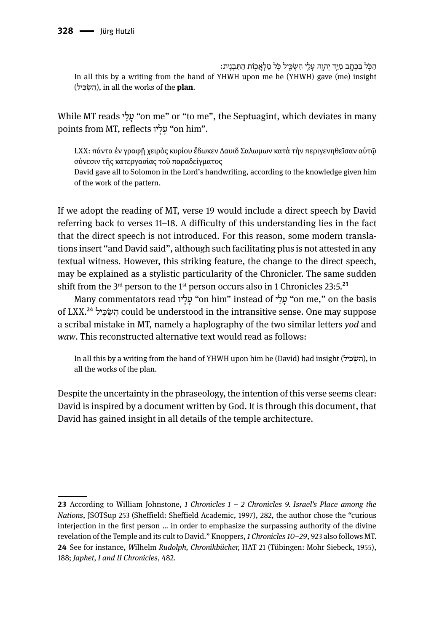ּהַכְּל בִּכְתֶב מְיֵד יִהְוֶה עָלֵי הִשְׁכֵּיל כְּל מַלְאֲכְוֹת הַתַּבְנִית: In all this by a writing from the hand of YHWH upon me he (YHWH) gave (me) insight (יל ִ כּשְׂ ִה(, in all the works of the **plan**.

While MT reads 'על "on me" or "to me", the Septuagint, which deviates in many points from MT, reflects יעַלַיו "on him".

LXX: πάντα ἐν γραφῇ χειρὸς κυρίου ἔδωκεν Δαυιδ Σαλωμων κατὰ τὴν περιγενηθεῖσαν αὐτῷ σύνεσιν τῆς κατεργασίας τοῦ παραδείγματος David gave all to Solomon in the Lord's handwriting, according to the knowledge given him of the work of the pattern.

If we adopt the reading of MT, verse 19 would include a direct speech by David referring back to verses 11–18. A difficulty of this understanding lies in the fact that the direct speech is not introduced. For this reason, some modern translations insert "and David said", although such facilitating plus is not attested in any textual witness. However, this striking feature, the change to the direct speech, may be explained as a stylistic particularity of the Chronicler. The same sudden shift from the  $3<sup>rd</sup>$  person to the 1<sup>st</sup> person occurs also in 1 Chronicles 23:5.<sup>23</sup>

Many commentators read יעֲלֵי "on him" instead of יעלֵי "on me," on the basis of LXX.24 יל ִ כּשְׂ ִה could be understood in the intransitive sense. One may suppose a scribal mistake in MT, namely a haplography of the two similar letters *yod* and *waw*. This reconstructed alternative text would read as follows:

In all this by a writing from the hand of YHWH upon him he (David) had insight (השׂכּיל), in all the works of the plan.

Despite the uncertainty in the phraseology, the intention of this verse seems clear: David is inspired by a document written by God. It is through this document, that David has gained insight in all details of the temple architecture.

**<sup>23</sup>** According to William Johnstone, *1 Chronicles 1 – 2 Chronicles 9. Israel's Place among the Nations*, JSOTSup 253 (Sheffield: Sheffield Academic, 1997), 282, the author chose the "curious interjection in the first person … in order to emphasize the surpassing authority of the divine revelation of the Temple and its cult to David." Knoppers, *1 Chronicles 10–29*, 923 also follows MT. **24** See for instance, *W*ilhelm *Rudolph, Chronikbücher,* HAT 21 (Tübingen: Mohr Siebeck, 1955), 188; *Japhet, I and II Chronicles*, 482.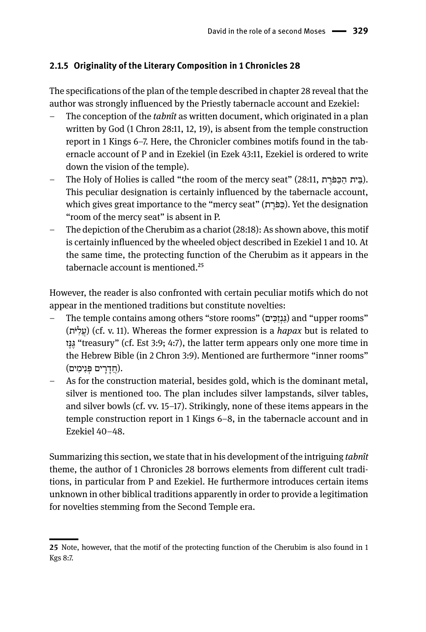#### **2.1.5 Originality of the Literary Composition in 1 Chronicles 28**

The specifications of the plan of the temple described in chapter 28 reveal that the author was strongly influenced by the Priestly tabernacle account and Ezekiel:

- The conception of the *tabnît* as written document, which originated in a plan written by God (1 Chron 28:11, 12, 19), is absent from the temple construction report in 1 Kings 6–7. Here, the Chronicler combines motifs found in the tabernacle account of P and in Ezekiel (in Ezek 43:11, Ezekiel is ordered to write down the vision of the temple).
- The Holy of Holies is called "the room of the mercy seat" (28:11, ת ֶרֹפּ ַכּ ַה ית ֵבּ(. This peculiar designation is certainly influenced by the tabernacle account, which gives great importance to the "mercy seat" (כּפּׂרַת). Yet the designation "room of the mercy seat" is absent in P.
- The depiction of the Cherubim as a chariot (28:18): As shown above, this motif is certainly influenced by the wheeled object described in Ezekiel 1 and 10. At the same time, the protecting function of the Cherubim as it appears in the tabernacle account is mentioned.25

However, the reader is also confronted with certain peculiar motifs which do not appear in the mentioned traditions but constitute novelties:

- The temple contains among others "store rooms" (גנזכּים) and "upper rooms" (תֹיּ ִל ֲע) (cf. v. 11). Whereas the former expression is a *hapax* but is related to זֶנּגֶּ" treasury" (cf. Est 3:9; 4:7), the latter term appears only one more time in the Hebrew Bible (in 2 Chron 3:9). Mentioned are furthermore "inner rooms" .(חדרים פּנימים).
- As for the construction material, besides gold, which is the dominant metal, silver is mentioned too. The plan includes silver lampstands, silver tables, and silver bowls (cf. vv. 15–17). Strikingly, none of these items appears in the temple construction report in 1 Kings 6–8, in the tabernacle account and in Ezekiel 40–48.

Summarizing this section, we state that in his development of the intriguing *tabnît* theme, the author of 1 Chronicles 28 borrows elements from different cult traditions, in particular from P and Ezekiel. He furthermore introduces certain items unknown in other biblical traditions apparently in order to provide a legitimation for novelties stemming from the Second Temple era.

**<sup>25</sup>** Note, however, that the motif of the protecting function of the Cherubim is also found in 1 Kgs 8:7.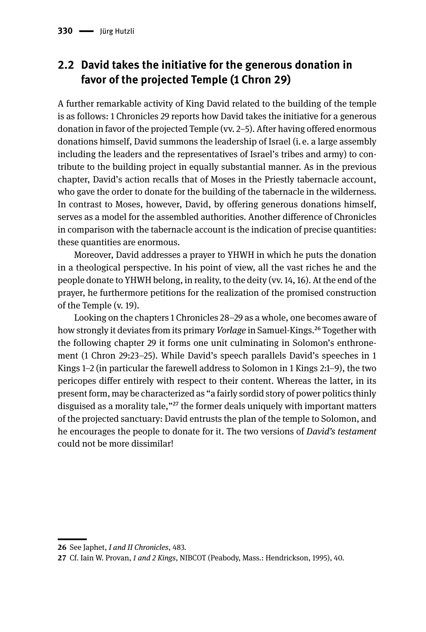### **2.2 David takes the initiative for the generous donation in favor of the projected Temple (1 Chron 29)**

A further remarkable activity of King David related to the building of the temple is as follows: 1 Chronicles 29 reports how David takes the initiative for a generous donation in favor of the projected Temple (vv. 2–5). After having offered enormous donations himself, David summons the leadership of Israel (i. e. a large assembly including the leaders and the representatives of Israel's tribes and army) to contribute to the building project in equally substantial manner. As in the previous chapter, David's action recalls that of Moses in the Priestly tabernacle account, who gave the order to donate for the building of the tabernacle in the wilderness. In contrast to Moses, however, David, by offering generous donations himself, serves as a model for the assembled authorities. Another difference of Chronicles in comparison with the tabernacle account is the indication of precise quantities: these quantities are enormous.

Moreover, David addresses a prayer to YHWH in which he puts the donation in a theological perspective. In his point of view, all the vast riches he and the people donate to YHWH belong, in reality, to the deity (vv. 14, 16). At the end of the prayer, he furthermore petitions for the realization of the promised construction of the Temple (v. 19).

Looking on the chapters 1 Chronicles 28–29 as a whole, one becomes aware of how strongly it deviates from its primary *Vorlage* in Samuel-Kings.<sup>26</sup> Together with the following chapter 29 it forms one unit culminating in Solomon's enthronement (1 Chron 29:23–25). While David's speech parallels David's speeches in 1 Kings 1–2 (in particular the farewell address to Solomon in 1 Kings 2:1–9), the two pericopes differ entirely with respect to their content. Whereas the latter, in its present form, may be characterized as "a fairly sordid story of power politics thinly disguised as a morality tale,"27 the former deals uniquely with important matters of the projected sanctuary: David entrusts the plan of the temple to Solomon, and he encourages the people to donate for it. The two versions of *David's testament* could not be more dissimilar!

**<sup>26</sup>** See Japhet, *I and II Chronicles*, 483.

**<sup>27</sup>** Cf. Iain W. Provan, *1 and 2 Kings*, NIBCOT (Peabody, Mass.: Hendrickson, 1995), 40.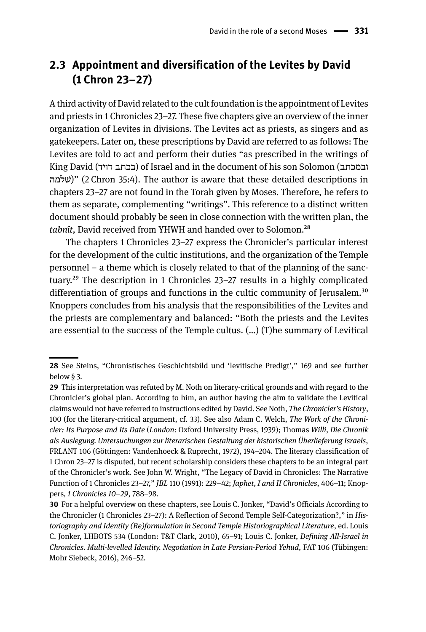### **2.3 Appointment and diversification of the Levites by David (1 Chron 23–27)**

A third activity of David related to the cult foundation is the appointment of Levites and priests in 1 Chronicles 23–27. These five chapters give an overview of the inner organization of Levites in divisions. The Levites act as priests, as singers and as gatekeepers. Later on, these prescriptions by David are referred to as follows: The Levites are told to act and perform their duties "as prescribed in the writings of King David (דויד בכתב (of Israel and in the document of his son Solomon (ובמכתב שלמהׁ) "(2 Chron 35:4). The author is aware that these detailed descriptions in chapters 23–27 are not found in the Torah given by Moses. Therefore, he refers to them as separate, complementing "writings". This reference to a distinct written document should probably be seen in close connection with the written plan, the *tabnît*, David received from YHWH and handed over to Solomon.<sup>28</sup>

The chapters 1 Chronicles 23–27 express the Chronicler's particular interest for the development of the cultic institutions, and the organization of the Temple personnel – a theme which is closely related to that of the planning of the sanctuary.29 The description in 1 Chronicles 23–27 results in a highly complicated differentiation of groups and functions in the cultic community of Jerusalem.<sup>30</sup> Knoppers concludes from his analysis that the responsibilities of the Levites and the priests are complementary and balanced: "Both the priests and the Levites are essential to the success of the Temple cultus. (…) (T)he summary of Levitical

**<sup>28</sup>** See Steins, "Chronistisches Geschichtsbild und 'levitische Predigt'," 169 and see further below § 3.

**<sup>29</sup>** This interpretation was refuted by M. Noth on literary-critical grounds and with regard to the Chronicler's global plan. According to him, an author having the aim to validate the Levitical claims would not have referred to instructions edited by David. See Noth, *The Chronicler's History*, 100 (for the literary-critical argument, cf. 33). See also Adam C. Welch, *The Work of the Chronicler: Its Purpose and Its Date* (*London*: Oxford University Press, 1939); Thomas *Willi, Die Chronik als Auslegung. Untersuchungen zur literarischen Gestaltung der historischen Überlieferung Israels*, FRLANT 106 (Göttingen: Vandenhoeck & Ruprecht, 1972), 194–204. The literary classification of 1 Chron 23–27 is disputed, but recent scholarship considers these chapters to be an integral part of the Chronicler's work. See John W. Wright, "The Legacy of David in Chronicles: The Narrative Function of 1 Chronicles 23–27," *JBL* 110 (1991): 229–42; *Japhet, I and II Chronicles*, 406–11; Knoppers*, 1 Chronicles 10–29*, 788–98.

**<sup>30</sup>** For a helpful overview on these chapters, see Louis C. Jonker, "David's Officials According to the Chronicler (1 Chronicles 23–27): A Reflection of Second Temple Self-Categorization?," in *Historiography and Identity (Re)formulation in Second Temple Historiographical Literature*, ed. Louis C. Jonker, LHBOTS 534 (London: T&T Clark, 2010), 65–91; Louis C. Jonker, *Defining All-Israel in Chronicles. Multi-levelled Identity. Negotiation in Late Persian-Period Yehud*, FAT 106 (Tübingen: Mohr Siebeck, 2016), 246–52.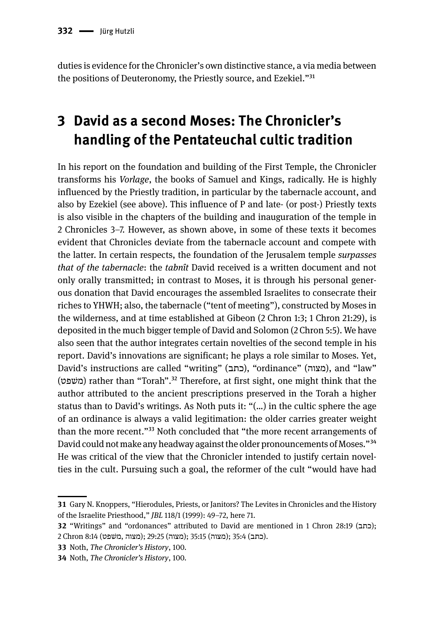duties is evidence for the Chronicler's own distinctive stance, a via media between the positions of Deuteronomy, the Priestly source, and Ezekiel."<sup>31</sup>

# **3 David as a second Moses: The Chronicler's handling of the Pentateuchal cultic tradition**

In his report on the foundation and building of the First Temple, the Chronicler transforms his *Vorlage*, the books of Samuel and Kings, radically. He is highly influenced by the Priestly tradition, in particular by the tabernacle account, and also by Ezekiel (see above). This influence of P and late- (or post-) Priestly texts is also visible in the chapters of the building and inauguration of the temple in 2 Chronicles 3–7. However, as shown above, in some of these texts it becomes evident that Chronicles deviate from the tabernacle account and compete with the latter. In certain respects, the foundation of the Jerusalem temple *surpasses that of the tabernacle*: the *tabnît* David received is a written document and not only orally transmitted; in contrast to Moses, it is through his personal generous donation that David encourages the assembled Israelites to consecrate their riches to YHWH; also, the tabernacle ("tent of meeting"), constructed by Moses in the wilderness, and at time established at Gibeon (2 Chron 1:3; 1 Chron 21:29), is deposited in the much bigger temple of David and Solomon (2 Chron 5:5). We have also seen that the author integrates certain novelties of the second temple in his report. David's innovations are significant; he plays a role similar to Moses. Yet, David's instructions are called "writing" (כתב), "ordinance" (מצוה), and "law" (שפטׁמ (rather than "Torah".32 Therefore, at first sight, one might think that the author attributed to the ancient prescriptions preserved in the Torah a higher status than to David's writings. As Noth puts it: "(…) in the cultic sphere the age of an ordinance is always a valid legitimation: the older carries greater weight than the more recent."<sup>33</sup> Noth concluded that "the more recent arrangements of David could not make any headway against the older pronouncements of Moses."34 He was critical of the view that the Chronicler intended to justify certain novelties in the cult. Pursuing such a goal, the reformer of the cult "would have had

**<sup>31</sup>** Gary N. Knoppers, "Hierodules, Priests, or Janitors? The Levites in Chronicles and the History of the Israelite Priesthood," *JBL* 118/1 (1999): 49–72, here 71.

**<sup>32</sup>** "Writings" and "ordonances" attributed to David are mentioned in 1 Chron 28:19 (כתב); .(כתב) 35:4 ;(מצוה) 35:15 ;(מצוה) 29:25 ;(מצוה ,מׁשפט) 8:14 Chron 2

**<sup>33</sup>** Noth, *The Chronicler's History*, 100.

**<sup>34</sup>** Noth, *The Chronicler's History*, 100.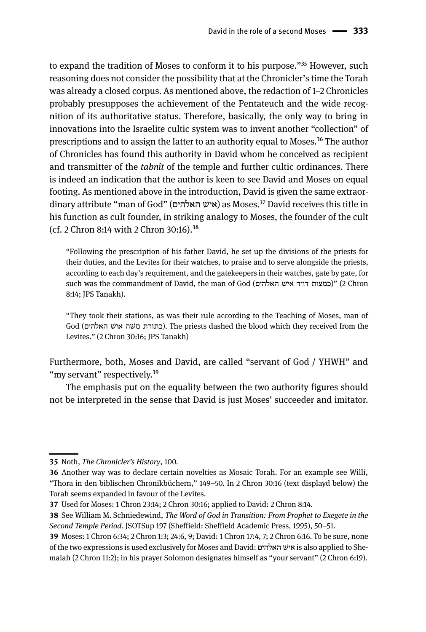to expand the tradition of Moses to conform it to his purpose."<sup>35</sup> However, such reasoning does not consider the possibility that at the Chronicler's time the Torah was already a closed corpus. As mentioned above, the redaction of 1–2 Chronicles probably presupposes the achievement of the Pentateuch and the wide recognition of its authoritative status. Therefore, basically, the only way to bring in innovations into the Israelite cultic system was to invent another "collection" of prescriptions and to assign the latter to an authority equal to Moses.<sup>36</sup> The author of Chronicles has found this authority in David whom he conceived as recipient and transmitter of the *tabnît* of the temple and further cultic ordinances. There is indeed an indication that the author is keen to see David and Moses on equal footing. As mentioned above in the introduction, David is given the same extraordinary attribute "man of God" (האלהים שׁאי (as Moses.37 David receives this title in his function as cult founder, in striking analogy to Moses, the founder of the cult (cf. 2 Chron 8:14 with 2 Chron 30:16).38

"Following the prescription of his father David, he set up the divisions of the priests for their duties, and the Levites for their watches, to praise and to serve alongside the priests, according to each day's requirement, and the gatekeepers in their watches, gate by gate, for such was the commandment of David, the man of God (האלהים שׁאי דויד כמצות) "(2 Chron 8:14; JPS Tanakh).

"They took their stations, as was their rule according to the Teaching of Moses, man of God (כתורת משה איש האלהים). The priests dashed the blood which they received from the Levites." (2 Chron 30:16; JPS Tanakh)

Furthermore, both, Moses and David, are called "servant of God / YHWH" and "my servant" respectively.<sup>39</sup>

The emphasis put on the equality between the two authority figures should not be interpreted in the sense that David is just Moses' succeeder and imitator.

**<sup>35</sup>** Noth, *The Chronicler's History*, 100.

**<sup>36</sup>** Another way was to declare certain novelties as Mosaic Torah. For an example see Willi, "Thora in den biblischen Chronikbüchern," 149–50. In 2 Chron 30:16 (text displayd below) the Torah seems expanded in favour of the Levites.

**<sup>37</sup>** Used for Moses: 1 Chron 23:14; 2 Chron 30:16; applied to David: 2 Chron 8:14.

**<sup>38</sup>** See William M. Schniedewind, *The Word of God in Transition: From Prophet to Exegete in the Second Temple Period*. JSOTSup 197 (Sheffield: Sheffield Academic Press, 1995), 50–51.

**<sup>39</sup>** Moses: 1 Chron 6:34; 2 Chron 1:3; 24:6, 9; David: 1 Chron 17:4, 7; 2 Chron 6:16. To be sure, none of the two expressions is used exclusively for Moses and David: האלהים שׁאי is also applied to Shemaiah (2 Chron 11:2); in his prayer Solomon designates himself as "your servant" (2 Chron 6:19).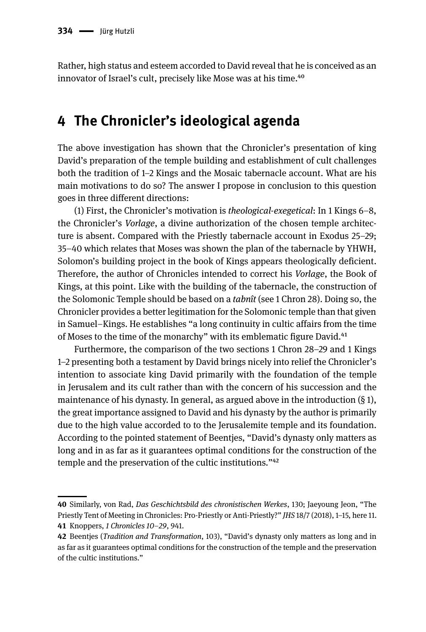Rather, high status and esteem accorded to David reveal that he is conceived as an innovator of Israel's cult, precisely like Mose was at his time.<sup>40</sup>

## **4 The Chronicler's ideological agenda**

The above investigation has shown that the Chronicler's presentation of king David's preparation of the temple building and establishment of cult challenges both the tradition of 1–2 Kings and the Mosaic tabernacle account. What are his main motivations to do so? The answer I propose in conclusion to this question goes in three different directions:

(1) First, the Chronicler's motivation is *theological-exegetical*: In 1 Kings 6–8, the Chronicler's *Vorlage*, a divine authorization of the chosen temple architecture is absent. Compared with the Priestly tabernacle account in Exodus 25–29; 35–40 which relates that Moses was shown the plan of the tabernacle by YHWH, Solomon's building project in the book of Kings appears theologically deficient. Therefore, the author of Chronicles intended to correct his *Vorlage*, the Book of Kings, at this point. Like with the building of the tabernacle, the construction of the Solomonic Temple should be based on a *tabnît* (see 1 Chron 28). Doing so, the Chronicler provides a better legitimation for the Solomonic temple than that given in Samuel–Kings. He establishes "a long continuity in cultic affairs from the time of Moses to the time of the monarchy" with its emblematic figure David.<sup>41</sup>

Furthermore, the comparison of the two sections 1 Chron 28–29 and 1 Kings 1–2 presenting both a testament by David brings nicely into relief the Chronicler's intention to associate king David primarily with the foundation of the temple in Jerusalem and its cult rather than with the concern of his succession and the maintenance of his dynasty. In general, as argued above in the introduction (§ 1), the great importance assigned to David and his dynasty by the author is primarily due to the high value accorded to to the Jerusalemite temple and its foundation. According to the pointed statement of Beentjes, "David's dynasty only matters as long and in as far as it guarantees optimal conditions for the construction of the temple and the preservation of the cultic institutions."42

**<sup>40</sup>** Similarly, von Rad, *Das Geschichtsbild des chronistischen Werkes*, 130; Jaeyoung Jeon, "The Priestly Tent of Meeting in Chronicles: Pro-Priestly or Anti-Priestly?" *JHS* 18/7 (2018), 1–15, here 11. **41** Knoppers, *1 Chronicles 10–29*, 941.

**<sup>42</sup>** Beentjes (*Tradition and Transformation*, 103), "David's dynasty only matters as long and in as far as it guarantees optimal conditions for the construction of the temple and the preservation of the cultic institutions."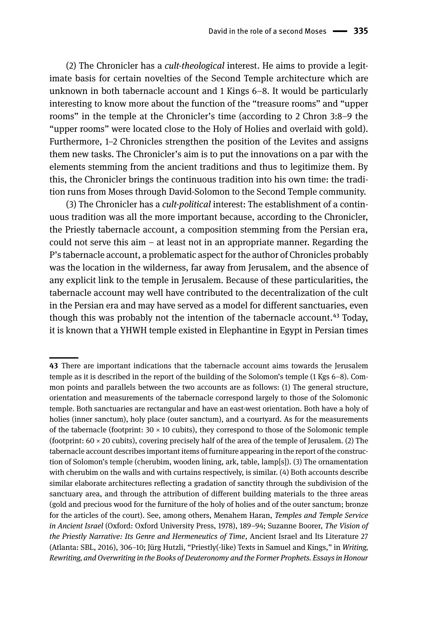(2) The Chronicler has a *cult-theological* interest. He aims to provide a legitimate basis for certain novelties of the Second Temple architecture which are unknown in both tabernacle account and 1 Kings 6–8. It would be particularly interesting to know more about the function of the "treasure rooms" and "upper rooms" in the temple at the Chronicler's time (according to 2 Chron 3:8–9 the "upper rooms" were located close to the Holy of Holies and overlaid with gold). Furthermore, 1–2 Chronicles strengthen the position of the Levites and assigns them new tasks. The Chronicler's aim is to put the innovations on a par with the elements stemming from the ancient traditions and thus to legitimize them. By this, the Chronicler brings the continuous tradition into his own time: the tradition runs from Moses through David-Solomon to the Second Temple community.

(3) The Chronicler has a *cult-political* interest: The establishment of a continuous tradition was all the more important because, according to the Chronicler, the Priestly tabernacle account, a composition stemming from the Persian era, could not serve this aim – at least not in an appropriate manner. Regarding the P's tabernacle account, a problematic aspect for the author of Chronicles probably was the location in the wilderness, far away from Jerusalem, and the absence of any explicit link to the temple in Jerusalem. Because of these particularities, the tabernacle account may well have contributed to the decentralization of the cult in the Persian era and may have served as a model for different sanctuaries, even though this was probably not the intention of the tabernacle account.<sup>43</sup> Today, it is known that a YHWH temple existed in Elephantine in Egypt in Persian times

**<sup>43</sup>** There are important indications that the tabernacle account aims towards the Jerusalem temple as it is described in the report of the building of the Solomon's temple (1 Kgs 6–8). Common points and parallels between the two accounts are as follows: (1) The general structure, orientation and measurements of the tabernacle correspond largely to those of the Solomonic temple. Both sanctuaries are rectangular and have an east-west orientation. Both have a holy of holies (inner sanctum), holy place (outer sanctum), and a courtyard. As for the measurements of the tabernacle (footprint:  $30 \times 10$  cubits), they correspond to those of the Solomonic temple (footprint:  $60 \times 20$  cubits), covering precisely half of the area of the temple of Jerusalem. (2) The tabernacle account describes important items of furniture appearing in the report of the construction of Solomon's temple (cherubim, wooden lining, ark, table, lamp[s]). (3) The ornamentation with cherubim on the walls and with curtains respectively, is similar. (4) Both accounts describe similar elaborate architectures reflecting a gradation of sanctity through the subdivision of the sanctuary area, and through the attribution of different building materials to the three areas (gold and precious wood for the furniture of the holy of holies and of the outer sanctum; bronze for the articles of the court). See, among others, Menahem Haran, *Temples and Temple Service in Ancient Israel* (Oxford: Oxford University Press, 1978), 189–94; Suzanne Boorer, *The Vision of the Priestly Narrative: Its Genre and Hermeneutics of Time*, Ancient Israel and Its Literature 27 (Atlanta: SBL, 2016), 306–10; Jürg Hutzli, "Priestly(-like) Texts in Samuel and Kings," in *Writing, Rewriting, and Overwriting in the Books of Deuteronomy and the Former Prophets. Essays in Honour*